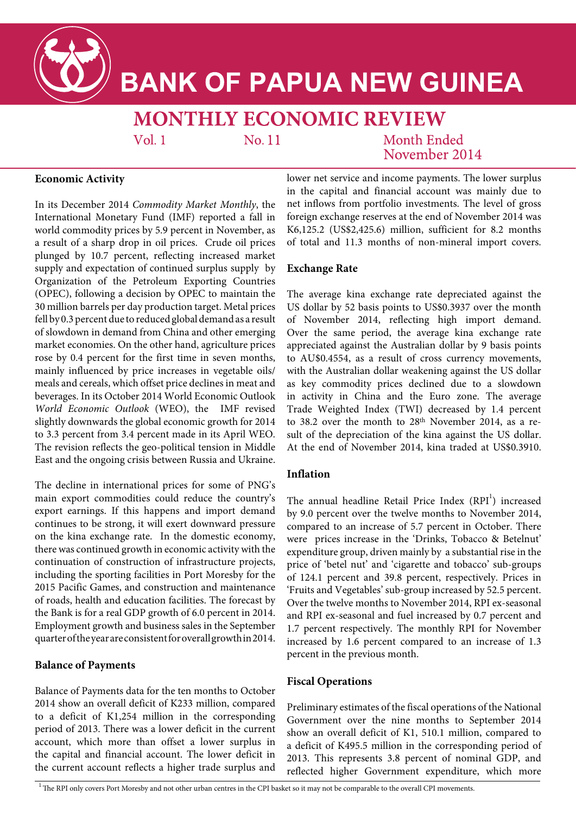

# **BANK OF PAPUA NEW GUINEA**

## **MONTHLY ECONOMIC REVIEW**

 $Vol<sub>1</sub>$ 

No. 11

Month Ended November 2014

### **Economic Activity**

In its December 2014 *Commodity Market Monthly*, the International Monetary Fund (IMF) reported a fall in world commodity prices by 5.9 percent in November, as a result of a sharp drop in oil prices. Crude oil prices plunged by 10.7 percent, reflecting increased market supply and expectation of continued surplus supply by Organization of the Petroleum Exporting Countries (OPEC), following a decision by OPEC to maintain the 30 million barrels per day production target. Metal prices fell by 0.3 percent due to reduced global demand as a result of slowdown in demand from China and other emerging market economies. On the other hand, agriculture prices rose by 0.4 percent for the first time in seven months, mainly influenced by price increases in vegetable oils/ meals and cereals, which offset price declines in meat and beverages. In its October 2014 World Economic Outlook *World Economic Outlook* (WEO), the IMF revised slightly downwards the global economic growth for 2014 to 3.3 percent from 3.4 percent made in its April WEO. The revision reflects the geo-political tension in Middle East and the ongoing crisis between Russia and Ukraine.

The decline in international prices for some of PNG's main export commodities could reduce the country's export earnings. If this happens and import demand continues to be strong, it will exert downward pressure on the kina exchange rate. In the domestic economy, there was continued growth in economic activity with the continuation of construction of infrastructure projects, including the sporting facilities in Port Moresby for the 2015 Pacific Games, and construction and maintenance of roads, health and education facilities. The forecast by the Bank is for a real GDP growth of 6.0 percent in 2014. Employment growth and business sales in the September quarter of the year are consistent for overall growth in 2014.

### **Balance of Payments**

Balance of Payments data for the ten months to October 2014 show an overall deficit of K233 million, compared to a deficit of K1,254 million in the corresponding period of 2013. There was a lower deficit in the current account, which more than offset a lower surplus in the capital and financial account. The lower deficit in the current account reflects a higher trade surplus and lower net service and income payments. The lower surplus in the capital and financial account was mainly due to net inflows from portfolio investments. The level of gross foreign exchange reserves at the end of November 2014 was K6,125.2 (US\$2,425.6) million, sufficient for 8.2 months of total and 11.3 months of non-mineral import covers.

#### **Exchange Rate**

The average kina exchange rate depreciated against the US dollar by 52 basis points to US\$0.3937 over the month of November 2014, reflecting high import demand. Over the same period, the average kina exchange rate appreciated against the Australian dollar by 9 basis points to AU\$0.4554, as a result of cross currency movements, with the Australian dollar weakening against the US dollar as key commodity prices declined due to a slowdown in activity in China and the Euro zone. The average Trade Weighted Index (TWI) decreased by 1.4 percent to 38.2 over the month to 28<sup>th</sup> November 2014, as a result of the depreciation of the kina against the US dollar. At the end of November 2014, kina traded at US\$0.3910.

#### **Inflation**

The annual headline Retail Price Index  $(RPI<sup>1</sup>)$  increased by 9.0 percent over the twelve months to November 2014, compared to an increase of 5.7 percent in October. There were prices increase in the 'Drinks, Tobacco & Betelnut' expenditure group, driven mainly by a substantial rise in the price of 'betel nut' and 'cigarette and tobacco' sub-groups of 124.1 percent and 39.8 percent, respectively. Prices in 'Fruits and Vegetables' sub-group increased by 52.5 percent. Over the twelve months to November 2014, RPI ex-seasonal and RPI ex-seasonal and fuel increased by 0.7 percent and 1.7 percent respectively. The monthly RPI for November increased by 1.6 percent compared to an increase of 1.3 percent in the previous month.

#### **Fiscal Operations**

Preliminary estimates of the fiscal operations of the National Government over the nine months to September 2014 show an overall deficit of K1, 510.1 million, compared to a deficit of K495.5 million in the corresponding period of 2013. This represents 3.8 percent of nominal GDP, and reflected higher Government expenditure, which more

 $1$ The RPI only covers Port Moresby and not other urban centres in the CPI basket so it may not be comparable to the overall CPI movements.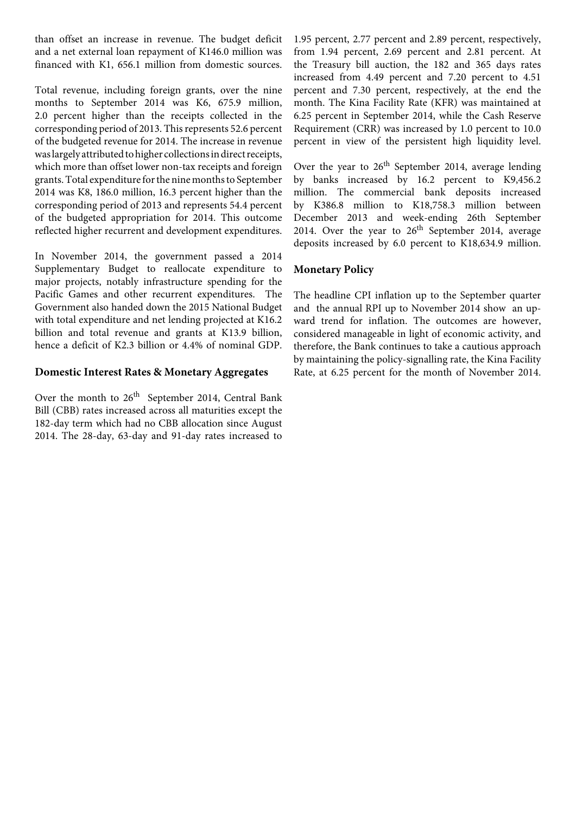than offset an increase in revenue. The budget deficit and a net external loan repayment of K146.0 million was financed with K1, 656.1 million from domestic sources.

Total revenue, including foreign grants, over the nine months to September 2014 was K6, 675.9 million, 2.0 percent higher than the receipts collected in the corresponding period of 2013. This represents 52.6 percent of the budgeted revenue for 2014. The increase in revenue was largely attributed to higher collections in direct receipts, which more than offset lower non-tax receipts and foreign grants. Total expenditure for the nine months to September 2014 was K8, 186.0 million, 16.3 percent higher than the corresponding period of 2013 and represents 54.4 percent of the budgeted appropriation for 2014. This outcome reflected higher recurrent and development expenditures.

In November 2014, the government passed a 2014 Supplementary Budget to reallocate expenditure to major projects, notably infrastructure spending for the Pacific Games and other recurrent expenditures. The Government also handed down the 2015 National Budget with total expenditure and net lending projected at K16.2 billion and total revenue and grants at K13.9 billion, hence a deficit of K2.3 billion or 4.4% of nominal GDP.

#### **Domestic Interest Rates & Monetary Aggregates**

Over the month to  $26<sup>th</sup>$  September 2014, Central Bank Bill (CBB) rates increased across all maturities except the 182-day term which had no CBB allocation since August 2014. The 28-day, 63-day and 91-day rates increased to

1.95 percent, 2.77 percent and 2.89 percent, respectively, from 1.94 percent, 2.69 percent and 2.81 percent. At the Treasury bill auction, the 182 and 365 days rates increased from 4.49 percent and 7.20 percent to 4.51 percent and 7.30 percent, respectively, at the end the month. The Kina Facility Rate (KFR) was maintained at 6.25 percent in September 2014, while the Cash Reserve Requirement (CRR) was increased by 1.0 percent to 10.0 percent in view of the persistent high liquidity level.

Over the year to  $26<sup>th</sup>$  September 2014, average lending by banks increased by 16.2 percent to K9,456.2 million. The commercial bank deposits increased by K386.8 million to K18,758.3 million between December 2013 and week-ending 26th September 2014. Over the year to  $26<sup>th</sup>$  September 2014, average deposits increased by 6.0 percent to K18,634.9 million.

#### **Monetary Policy**

The headline CPI inflation up to the September quarter and the annual RPI up to November 2014 show an upward trend for inflation. The outcomes are however, considered manageable in light of economic activity, and therefore, the Bank continues to take a cautious approach by maintaining the policy-signalling rate, the Kina Facility Rate, at 6.25 percent for the month of November 2014.